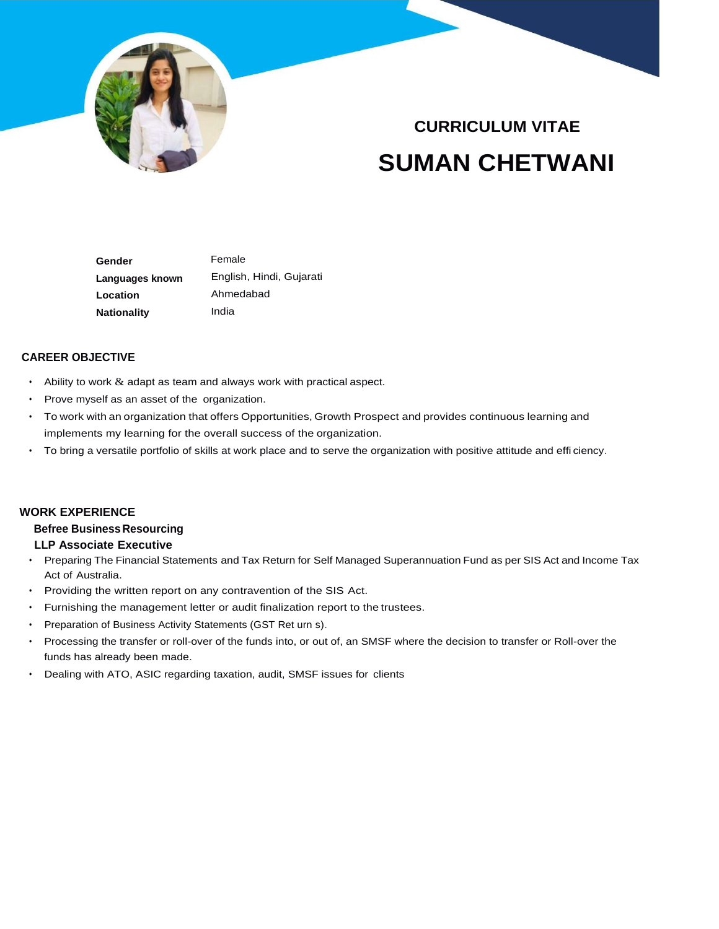

# **CURRICULUM VITAE SUMAN CHETWANI**

 **Gender Languages known Location Nationality**  Female English, Hindi, Gujarati Ahmedabad India

# **CAREER OBJECTIVE**

- Ability to work  $&$  adapt as team and always work with practical aspect.
- Prove myself as an asset of the organization.
- To work with an organization that offers Opportunities, Growth Prospect and provides continuous learning and implements my learning for the overall success of the organization.
- To bring a versatile portfolio of skills at work place and to serve the organization with positive attitude and effi ciency.

## **WORK EXPERIENCE**

## **Befree BusinessResourcing**

#### **LLP Associate Executive**

- Preparing The Financial Statements and Tax Return for Self Managed Superannuation Fund as per SIS Act and Income Tax Act of Australia.
- Providing the written report on any contravention of the SIS Act.
- Furnishing the management letter or audit finalization report to the trustees.
- Preparation of Business Activity Statements (GST Ret urn s).
- Processing the transfer or roll-over of the funds into, or out of, an SMSF where the decision to transfer or Roll-over the funds has already been made.
- Dealing with ATO, ASIC regarding taxation, audit, SMSF issues for clients